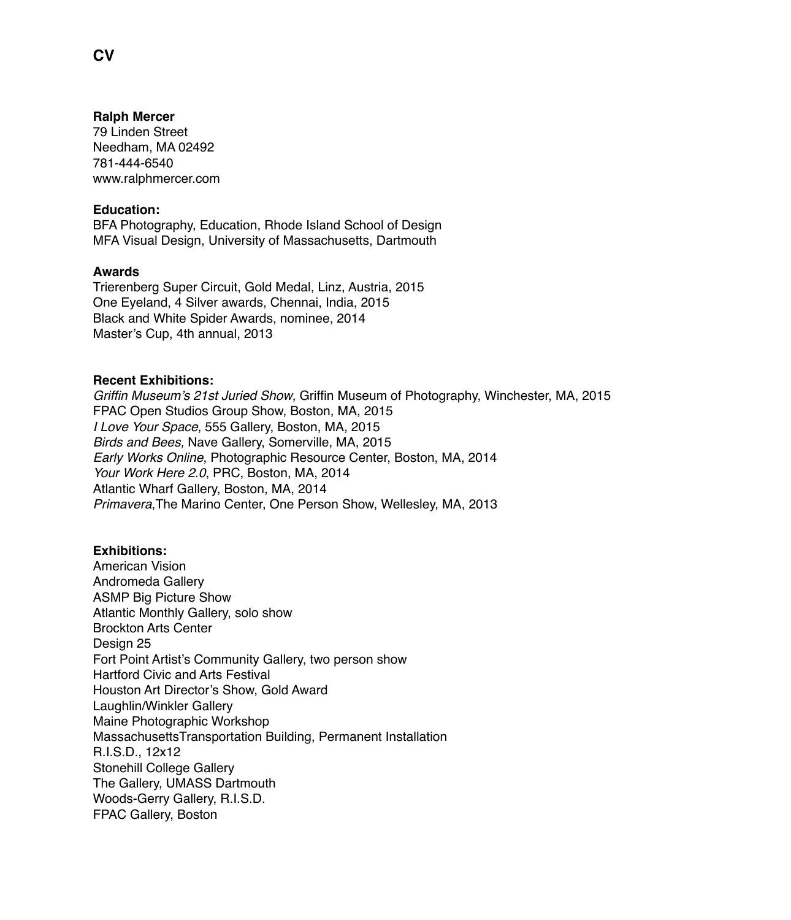#### **Ralph Mercer**

79 Linden Street Needham, MA 02492 781-444-6540 www.ralphmercer.com

## **Education:**

BFA Photography, Education, Rhode Island School of Design MFA Visual Design, University of Massachusetts, Dartmouth

#### **Awards**

Trierenberg Super Circuit, Gold Medal, Linz, Austria, 2015 One Eyeland, 4 Silver awards, Chennai, India, 2015 Black and White Spider Awards, nominee, 2014 Master's Cup, 4th annual, 2013

## **Recent Exhibitions:**

*Griffin Museum's 21st Juried Show*, Griffin Museum of Photography, Winchester, MA, 2015 FPAC Open Studios Group Show, Boston, MA, 2015 *I Love Your Space*, 555 Gallery, Boston, MA, 2015 *Birds and Bees,* Nave Gallery, Somerville, MA, 2015 *Early Works Online*, Photographic Resource Center, Boston, MA, 2014 *Your Work Here 2.0*, PRC, Boston, MA, 2014 Atlantic Wharf Gallery, Boston, MA, 2014 *Primavera*,The Marino Center, One Person Show, Wellesley, MA, 2013

# **Exhibitions:**

American Vision Andromeda Gallery ASMP Big Picture Show Atlantic Monthly Gallery, solo show Brockton Arts Center Design 25 Fort Point Artist's Community Gallery, two person show Hartford Civic and Arts Festival Houston Art Director's Show, Gold Award Laughlin/Winkler Gallery Maine Photographic Workshop MassachusettsTransportation Building, Permanent Installation R.I.S.D., 12x12 Stonehill College Gallery The Gallery, UMASS Dartmouth Woods-Gerry Gallery, R.I.S.D. FPAC Gallery, Boston